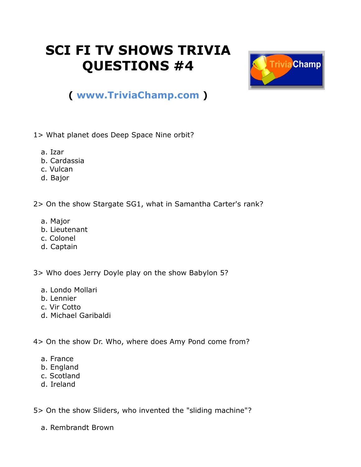## **SCI FI TV SHOWS TRIVIA QUESTIONS #4**



## **( [www.TriviaChamp.com](http://www.triviachamp.com/) )**

- 1> What planet does Deep Space Nine orbit?
	- a. Izar
	- b. Cardassia
	- c. Vulcan
	- d. Bajor

2> On the show Stargate SG1, what in Samantha Carter's rank?

- a. Major
- b. Lieutenant
- c. Colonel
- d. Captain

3> Who does Jerry Doyle play on the show Babylon 5?

- a. Londo Mollari
- b. Lennier
- c. Vir Cotto
- d. Michael Garibaldi

4> On the show Dr. Who, where does Amy Pond come from?

- a. France
- b. England
- c. Scotland
- d. Ireland

5> On the show Sliders, who invented the "sliding machine"?

a. Rembrandt Brown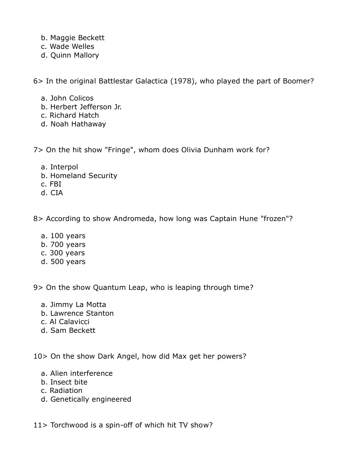- b. Maggie Beckett
- c. Wade Welles
- d. Quinn Mallory

6> In the original Battlestar Galactica (1978), who played the part of Boomer?

- a. John Colicos
- b. Herbert Jefferson Jr.
- c. Richard Hatch
- d. Noah Hathaway

7> On the hit show "Fringe", whom does Olivia Dunham work for?

- a. Interpol
- b. Homeland Security
- c. FBI
- d. CIA

8> According to show Andromeda, how long was Captain Hune "frozen"?

- a. 100 years
- b. 700 years
- c. 300 years
- d. 500 years

9> On the show Quantum Leap, who is leaping through time?

- a. Jimmy La Motta
- b. Lawrence Stanton
- c. Al Calavicci
- d. Sam Beckett

10> On the show Dark Angel, how did Max get her powers?

- a. Alien interference
- b. Insect bite
- c. Radiation
- d. Genetically engineered

## 11> Torchwood is a spin-off of which hit TV show?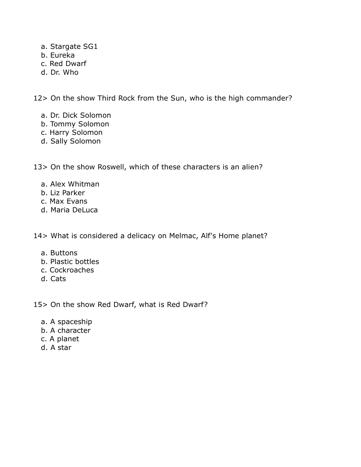- a. Stargate SG1
- b. Eureka
- c. Red Dwarf
- d. Dr. Who

12> On the show Third Rock from the Sun, who is the high commander?

- a. Dr. Dick Solomon
- b. Tommy Solomon
- c. Harry Solomon
- d. Sally Solomon

13> On the show Roswell, which of these characters is an alien?

- a. Alex Whitman
- b. Liz Parker
- c. Max Evans
- d. Maria DeLuca

14> What is considered a delicacy on Melmac, Alf's Home planet?

- a. Buttons
- b. Plastic bottles
- c. Cockroaches
- d. Cats

15> On the show Red Dwarf, what is Red Dwarf?

- a. A spaceship
- b. A character
- c. A planet
- d. A star